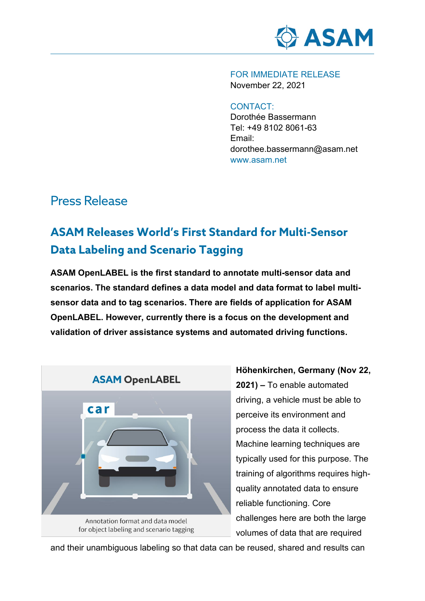

FOR IMMEDIATE RELEASE November 22, 2021

#### CONTACT:

Dorothée Bassermann Tel: +49 8102 8061-63 Email: dorothee.bassermann@asam.net www.asam.net

### Press Release

# **ASAM Releases World's First Standard for Multi-Sensor Data Labeling and Scenario Tagging**

**ASAM OpenLABEL is the first standard to annotate multi-sensor data and scenarios. The standard defines a data model and data format to label multisensor data and to tag scenarios. There are fields of application for ASAM OpenLABEL. However, currently there is a focus on the development and validation of driver assistance systems and automated driving functions.** 



## **2021) –** To enable automated driving, a vehicle must be able to perceive its environment and process the data it collects. Machine learning techniques are typically used for this purpose. The training of algorithms requires highquality annotated data to ensure reliable functioning. Core challenges here are both the large volumes of data that are required

**Höhenkirchen, Germany (Nov 22,** 

and their unambiguous labeling so that data can be reused, shared and results can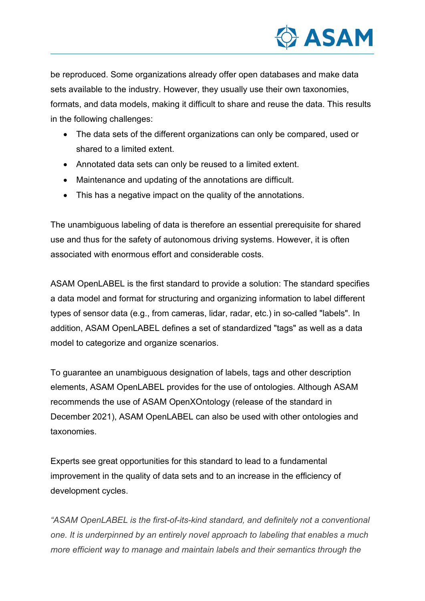

be reproduced. Some organizations already offer open databases and make data sets available to the industry. However, they usually use their own taxonomies, formats, and data models, making it difficult to share and reuse the data. This results in the following challenges:

- The data sets of the different organizations can only be compared, used or shared to a limited extent.
- Annotated data sets can only be reused to a limited extent.
- Maintenance and updating of the annotations are difficult.
- This has a negative impact on the quality of the annotations.

The unambiguous labeling of data is therefore an essential prerequisite for shared use and thus for the safety of autonomous driving systems. However, it is often associated with enormous effort and considerable costs.

ASAM OpenLABEL is the first standard to provide a solution: The standard specifies a data model and format for structuring and organizing information to label different types of sensor data (e.g., from cameras, lidar, radar, etc.) in so-called "labels". In addition, ASAM OpenLABEL defines a set of standardized "tags" as well as a data model to categorize and organize scenarios.

To guarantee an unambiguous designation of labels, tags and other description elements, ASAM OpenLABEL provides for the use of ontologies. Although ASAM recommends the use of ASAM OpenXOntology (release of the standard in December 2021), ASAM OpenLABEL can also be used with other ontologies and taxonomies.

Experts see great opportunities for this standard to lead to a fundamental improvement in the quality of data sets and to an increase in the efficiency of development cycles.

*"ASAM OpenLABEL is the first-of-its-kind standard, and definitely not a conventional one. It is underpinned by an entirely novel approach to labeling that enables a much more efficient way to manage and maintain labels and their semantics through the*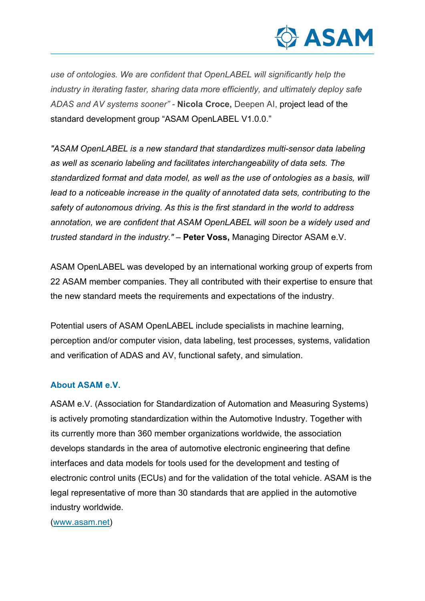

*use of ontologies. We are confident that OpenLABEL will significantly help the industry in iterating faster, sharing data more efficiently, and ultimately deploy safe ADAS and AV systems sooner" -* **Nicola Croce,** Deepen AI, project lead of the standard development group "ASAM OpenLABEL V1.0.0."

*"ASAM OpenLABEL is a new standard that standardizes multi-sensor data labeling as well as scenario labeling and facilitates interchangeability of data sets. The standardized format and data model, as well as the use of ontologies as a basis, will lead to a noticeable increase in the quality of annotated data sets, contributing to the safety of autonomous driving. As this is the first standard in the world to address annotation, we are confident that ASAM OpenLABEL will soon be a widely used and trusted standard in the industry."* – **Peter Voss,** Managing Director ASAM e.V.

ASAM OpenLABEL was developed by an international working group of experts from 22 ASAM member companies. They all contributed with their expertise to ensure that the new standard meets the requirements and expectations of the industry.

Potential users of ASAM OpenLABEL include specialists in machine learning, perception and/or computer vision, data labeling, test processes, systems, validation and verification of ADAS and AV, functional safety, and simulation.

#### **About ASAM e.V.**

ASAM e.V. (Association for Standardization of Automation and Measuring Systems) is actively promoting standardization within the Automotive Industry. Together with its currently more than 360 member organizations worldwide, the association develops standards in the area of automotive electronic engineering that define interfaces and data models for tools used for the development and testing of electronic control units (ECUs) and for the validation of the total vehicle. ASAM is the legal representative of more than 30 standards that are applied in the automotive industry worldwide.

[\(www.asam.net\)](https://asamev.sharepoint.com/Freigegebene%20Dokumente/04.%20Marketing/08%20Public%20Relations/01%20Public%20Relations/01%20ASAM%20Press%20Releases/2018_07_16_OpenDRIVE/www.asam.net)